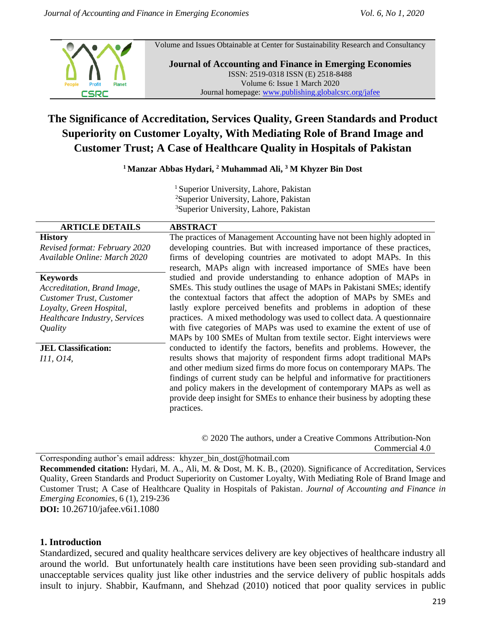

Volume and Issues Obtainable at Center for Sustainability Research and Consultancy

**Journal of Accounting and Finance in Emerging Economies** ISSN: 2519-0318 ISSN (E) 2518-8488 Volume 6: Issue 1 March 2020 Journal homepage: [www.publishing.globalcsrc.org/jafee](http://www.publishing.globalcsrc.org/jafee)

# **The Significance of Accreditation, Services Quality, Green Standards and Product Superiority on Customer Loyalty, With Mediating Role of Brand Image and Customer Trust; A Case of Healthcare Quality in Hospitals of Pakistan**

**<sup>1</sup> Manzar Abbas Hydari, <sup>2</sup> Muhammad Ali, <sup>3</sup> M Khyzer Bin Dost**

<sup>1</sup> Superior University, Lahore, Pakistan <sup>2</sup>Superior University, Lahore, Pakistan <sup>3</sup>Superior University, Lahore, Pakistan

| <b>ARTICLE DETAILS</b>          | <b>ABSTRACT</b>                                                            |
|---------------------------------|----------------------------------------------------------------------------|
| <b>History</b>                  | The practices of Management Accounting have not been highly adopted in     |
| Revised format: February 2020   | developing countries. But with increased importance of these practices,    |
| Available Online: March 2020    | firms of developing countries are motivated to adopt MAPs. In this         |
|                                 | research, MAPs align with increased importance of SMEs have been           |
| <b>Keywords</b>                 | studied and provide understanding to enhance adoption of MAPs in           |
| Accreditation, Brand Image,     | SMEs. This study outlines the usage of MAPs in Pakistani SMEs; identify    |
| <b>Customer Trust, Customer</b> | the contextual factors that affect the adoption of MAPs by SMEs and        |
| Loyalty, Green Hospital,        | lastly explore perceived benefits and problems in adoption of these        |
| Healthcare Industry, Services   | practices. A mixed methodology was used to collect data. A questionnaire   |
| Quality                         | with five categories of MAPs was used to examine the extent of use of      |
|                                 | MAPs by 100 SMEs of Multan from textile sector. Eight interviews were      |
| <b>JEL Classification:</b>      | conducted to identify the factors, benefits and problems. However, the     |
| I11, 014,                       | results shows that majority of respondent firms adopt traditional MAPs     |
|                                 | and other medium sized firms do more focus on contemporary MAPs. The       |
|                                 | findings of current study can be helpful and informative for practitioners |
|                                 | and policy makers in the development of contemporary MAPs as well as       |
|                                 | provide deep insight for SMEs to enhance their business by adopting these  |
|                                 | practices.                                                                 |
|                                 |                                                                            |
|                                 |                                                                            |

© 2020 The authors, under a Creative Commons Attribution-Non Commercial 4.0

Corresponding author's email address: khyzer\_bin\_dost@hotmail.com **Recommended citation:** Hydari, M. A., Ali, M. & Dost, M. K. B., (2020). Significance of Accreditation, Services Quality, Green Standards and Product Superiority on Customer Loyalty, With Mediating Role of Brand Image and Customer Trust; A Case of Healthcare Quality in Hospitals of Pakistan. *Journal of Accounting and Finance in Emerging Economies*, 6 (1), 219-236 **DOI:** 10.26710/jafee.v6i1.1080

#### **1. Introduction**

Standardized, secured and quality healthcare services delivery are key objectives of healthcare industry all around the world. But unfortunately health care institutions have been seen providing sub-standard and unacceptable services quality just like other industries and the service delivery of public hospitals adds insult to injury. [Shabbir, Kaufmann, and Shehzad \(2010\)](#page-17-0) noticed that poor quality services in public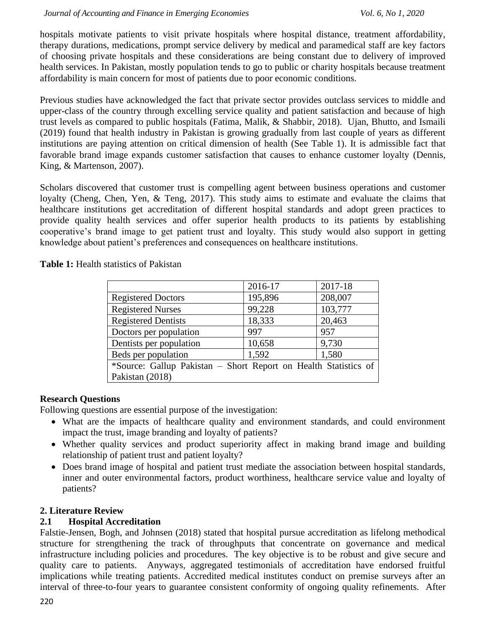hospitals motivate patients to visit private hospitals where hospital distance, treatment affordability, therapy durations, medications, prompt service delivery by medical and paramedical staff are key factors of choosing private hospitals and these considerations are being constant due to delivery of improved health services. In Pakistan, mostly population tends to go to public or charity hospitals because treatment affordability is main concern for most of patients due to poor economic conditions.

Previous studies have acknowledged the fact that private sector provides outclass services to middle and upper-class of the country through excelling service quality and patient satisfaction and because of high trust levels as compared to public hospitals (Fatima, Malik, & Shabbir, 2018). [Ujan, Bhutto, and Ismaili](#page-17-1)  [\(2019\)](#page-17-1) found that health industry in Pakistan is growing gradually from last couple of years as different institutions are paying attention on critical dimension of health (See Table 1). It is admissible fact that favorable brand image expands customer satisfaction that causes to enhance customer loyalty [\(Dennis,](#page-16-0)  [King, & Martenson, 2007\)](#page-16-0).

Scholars discovered that customer trust is compelling agent between business operations and customer loyalty [\(Cheng, Chen, Yen, & Teng, 2017\)](#page-16-1). This study aims to estimate and evaluate the claims that healthcare institutions get accreditation of different hospital standards and adopt green practices to provide quality health services and offer superior health products to its patients by establishing cooperative's brand image to get patient trust and loyalty. This study would also support in getting knowledge about patient's preferences and consequences on healthcare institutions.

**Table 1:** Health statistics of Pakistan

|                                                                 | 2016-17 | 2017-18 |  |  |  |
|-----------------------------------------------------------------|---------|---------|--|--|--|
| <b>Registered Doctors</b>                                       | 195,896 | 208,007 |  |  |  |
| <b>Registered Nurses</b>                                        | 99,228  | 103,777 |  |  |  |
| <b>Registered Dentists</b>                                      | 18,333  | 20,463  |  |  |  |
| Doctors per population                                          | 997     | 957     |  |  |  |
| Dentists per population                                         | 10,658  | 9,730   |  |  |  |
| Beds per population                                             | 1,592   | 1,580   |  |  |  |
| *Source: Gallup Pakistan – Short Report on Health Statistics of |         |         |  |  |  |
| Pakistan (2018)                                                 |         |         |  |  |  |

## **Research Questions**

Following questions are essential purpose of the investigation:

- What are the impacts of healthcare quality and environment standards, and could environment impact the trust, image branding and loyalty of patients?
- Whether quality services and product superiority affect in making brand image and building relationship of patient trust and patient loyalty?
- Does brand image of hospital and patient trust mediate the association between hospital standards, inner and outer environmental factors, product worthiness, healthcare service value and loyalty of patients?

## **2. Literature Review**

## **2.1 Hospital Accreditation**

[Falstie-Jensen, Bogh, and Johnsen \(2018\)](#page-16-2) stated that hospital pursue accreditation as lifelong methodical structure for strengthening the track of throughputs that concentrate on governance and medical infrastructure including policies and procedures. The key objective is to be robust and give secure and quality care to patients. Anyways, aggregated testimonials of accreditation have endorsed fruitful implications while treating patients. Accredited medical institutes conduct on premise surveys after an interval of three-to-four years to guarantee consistent conformity of ongoing quality refinements. After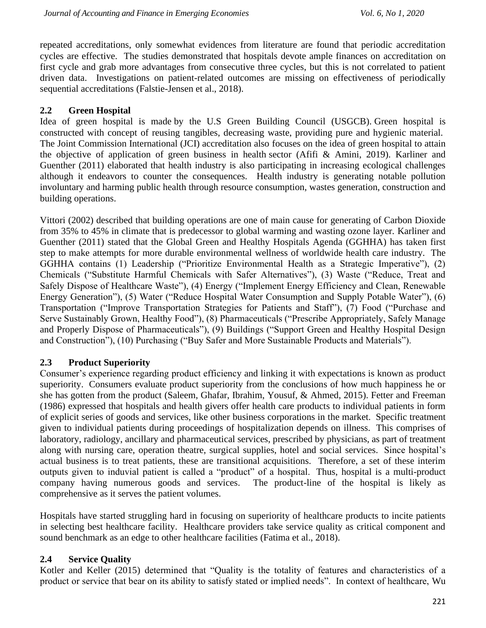repeated accreditations, only somewhat evidences from literature are found that periodic accreditation cycles are effective. The studies demonstrated that hospitals devote ample finances on accreditation on first cycle and grab more advantages from consecutive three cycles, but this is not correlated to patient driven data. Investigations on patient-related outcomes are missing on effectiveness of periodically sequential accreditations [\(Falstie-Jensen et al., 2018\)](#page-16-2).

#### **2.2 Green Hospital**

Idea of green hospital is made by the U.S Green Building Council (USGCB). Green hospital is constructed with concept of reusing tangibles, decreasing waste, providing pure and hygienic material. The Joint Commission International (JCI) accreditation also focuses on the idea of green hospital to attain the objective of application of green business in health sector [\(Afifi & Amini, 2019\)](#page-15-0). [Karliner and](#page-16-3)  [Guenther \(2011\)](#page-16-3) elaborated that health industry is also participating in increasing ecological challenges although it endeavors to counter the consequences. Health industry is generating notable pollution involuntary and harming public health through resource consumption, wastes generation, construction and building operations.

[Vittori](#page-17-2) (2002) described that building operations are one of main cause for generating of Carbon Dioxide from 35% to 45% in climate that is predecessor to global warming and wasting ozone layer. [Karliner and](#page-16-3)  [Guenther \(2011\)](#page-16-3) stated that the Global Green and Healthy Hospitals Agenda (GGHHA) has taken first step to make attempts for more durable environmental wellness of worldwide health care industry. The GGHHA contains (1) Leadership ("Prioritize Environmental Health as a Strategic Imperative"), (2) Chemicals ("Substitute Harmful Chemicals with Safer Alternatives"), (3) Waste ("Reduce, Treat and Safely Dispose of Healthcare Waste"), (4) Energy ("Implement Energy Efficiency and Clean, Renewable Energy Generation"), (5) Water ("Reduce Hospital Water Consumption and Supply Potable Water"), (6) Transportation ("Improve Transportation Strategies for Patients and Staff"), (7) Food ("Purchase and Serve Sustainably Grown, Healthy Food"), (8) Pharmaceuticals ("Prescribe Appropriately, Safely Manage and Properly Dispose of Pharmaceuticals"), (9) Buildings ("Support Green and Healthy Hospital Design and Construction"), (10) Purchasing ("Buy Safer and More Sustainable Products and Materials").

#### **2.3 Product Superiority**

Consumer's experience regarding product efficiency and linking it with expectations is known as product superiority. Consumers evaluate product superiority from the conclusions of how much happiness he or she has gotten from the product [\(Saleem, Ghafar, Ibrahim, Yousuf, & Ahmed, 2015\)](#page-17-3). [Fetter and Freeman](#page-16-4)  [\(1986\)](#page-16-4) expressed that hospitals and health givers offer health care products to individual patients in form of explicit series of goods and services, like other business corporations in the market. Specific treatment given to individual patients during proceedings of hospitalization depends on illness. This comprises of laboratory, radiology, ancillary and pharmaceutical services, prescribed by physicians, as part of treatment along with nursing care, operation theatre, surgical supplies, hotel and social services. Since hospital's actual business is to treat patients, these are transitional acquisitions. Therefore, a set of these interim outputs given to induvial patient is called a "product" of a hospital. Thus, hospital is a multi-product company having numerous goods and services. The product-line of the hospital is likely as comprehensive as it serves the patient volumes.

Hospitals have started struggling hard in focusing on superiority of healthcare products to incite patients in selecting best healthcare facility. Healthcare providers take service quality as critical component and sound benchmark as an edge to other healthcare facilities (Fatima et al., 2018).

#### **2.4 Service Quality**

[Kotler and Keller \(2015\)](#page-16-5) determined that "Quality is the totality of features and characteristics of a product or service that bear on its ability to satisfy stated or implied needs". In context of healthcare, [Wu](#page-17-4)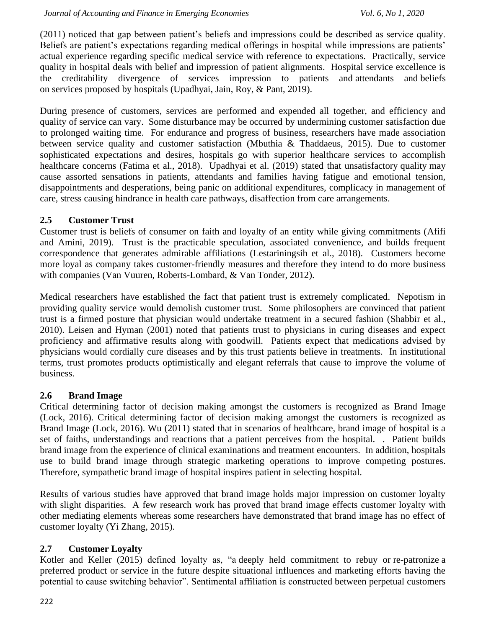[\(2011\)](#page-17-4) noticed that gap between patient's beliefs and impressions could be described as service quality. Beliefs are patient's expectations regarding medical offerings in hospital while impressions are patients' actual experience regarding specific medical service with reference to expectations. Practically, service quality in hospital deals with belief and impression of patient alignments. Hospital service excellence is the creditability divergence of services impression to patients and attendants and beliefs on services proposed by hospitals [\(Upadhyai, Jain, Roy, & Pant, 2019\)](#page-17-5).

During presence of customers, services are performed and expended all together, and efficiency and quality of service can vary. Some disturbance may be occurred by undermining customer satisfaction due to prolonged waiting time. For endurance and progress of business, researchers have made association between service quality and customer satisfaction [\(Mbuthia & Thaddaeus, 2015\)](#page-16-6). Due to customer sophisticated expectations and desires, hospitals go with superior healthcare services to accomplish healthcare concerns (Fatima et al., 2018). [Upadhyai et al. \(2019\)](#page-17-5) stated that unsatisfactory quality may cause assorted sensations in patients, attendants and families having fatigue and emotional tension, disappointments and desperations, being panic on additional expenditures, complicacy in management of care, stress causing hindrance in health care pathways, disaffection from care arrangements.

## **2.5 Customer Trust**

Customer trust is beliefs of consumer on faith and loyalty of an entity while giving commitments [\(Afifi](#page-15-0)  [and Amini, 2019\)](#page-15-0). Trust is the practicable speculation, associated convenience, and builds frequent correspondence that generates admirable affiliations [\(Lestariningsih et al., 2018\)](#page-16-7). Customers become more loyal as company takes customer-friendly measures and therefore they intend to do more business with companies [\(Van Vuuren, Roberts-Lombard, & Van Tonder, 2012\)](#page-17-6).

Medical researchers have established the fact that patient trust is extremely complicated. Nepotism in providing quality service would demolish customer trust. Some philosophers are convinced that patient trust is a firmed posture that physician would undertake treatment in a secured fashion [\(Shabbir et al.,](#page-17-0)  [2010\)](#page-17-0). [Leisen and Hyman \(2001\)](#page-16-8) noted that patients trust to physicians in curing diseases and expect proficiency and affirmative results along with goodwill. Patients expect that medications advised by physicians would cordially cure diseases and by this trust patients believe in treatments. In institutional terms, trust promotes products optimistically and elegant referrals that cause to improve the volume of business.

# **2.6 Brand Image**

Critical determining factor of decision making amongst the customers is recognized as Brand Image [\(Lock, 2016\)](#page-16-9). Critical determining factor of decision making amongst the customers is recognized as Brand Image [\(Lock, 2016\)](#page-16-9). [Wu \(2011\)](#page-17-4) stated that in scenarios of healthcare, brand image of hospital is a set of faiths, understandings and reactions that a patient perceives from the hospital. . Patient builds brand image from the experience of clinical examinations and treatment encounters. In addition, hospitals use to build brand image through strategic marketing operations to improve competing postures. Therefore, sympathetic brand image of hospital inspires patient in selecting hospital.

Results of various studies have approved that brand image holds major impression on customer loyalty with slight disparities. A few research work has proved that brand image effects customer loyalty with other mediating elements whereas some researchers have demonstrated that brand image has no effect of customer loyalty [\(Yi Zhang, 2015\)](#page-17-7).

# **2.7 Customer Loyalty**

[Kotler and Keller \(2015\)](#page-16-5) defined loyalty as, "a deeply held commitment to rebuy or re-patronize a preferred product or service in the future despite situational influences and marketing efforts having the potential to cause switching behavior". Sentimental affiliation is constructed between perpetual customers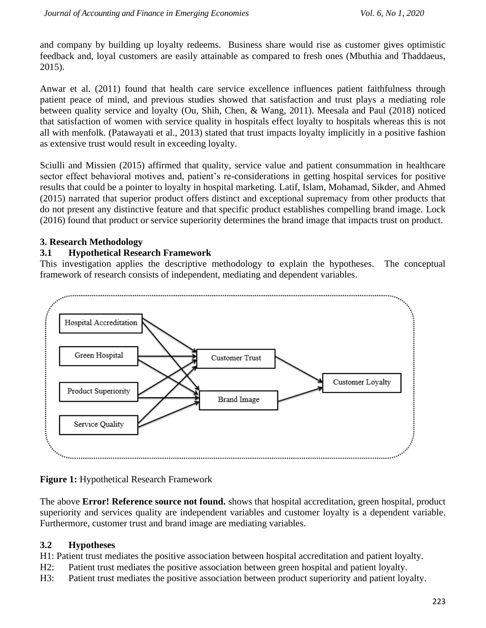and company by building up loyalty redeems. Business share would rise as customer gives optimistic feedback and, loyal customers are easily attainable as compared to fresh ones [\(Mbuthia and Thaddaeus,](#page-16-6)  [2015\)](#page-16-6).

[Anwar et al. \(2011\)](#page-15-1) found that health care service excellence influences patient faithfulness through patient peace of mind, and previous studies showed that satisfaction and trust plays a mediating role between quality service and loyalty [\(Ou, Shih, Chen, & Wang, 2011\)](#page-17-8). [Meesala and Paul \(2018\)](#page-17-9) noticed that satisfaction of women with service quality in hospitals effect loyalty to hospitals whereas this is not all with menfolk. [\(Patawayati et al., 2013\)](#page-17-10) stated that trust impacts loyalty implicitly in a positive fashion as extensive trust would result in exceeding loyalty.

Sciulli and Missien (2015) affirmed that quality, service value and patient consummation in healthcare sector effect behavioral motives and, patient's re-considerations in getting hospital services for positive results that could be a pointer to loyalty in hospital marketing. [Latif, Islam, Mohamad, Sikder, and Ahmed](#page-16-10)  [\(2015\)](#page-16-10) narrated that superior product offers distinct and exceptional supremacy from other products that do not present any distinctive feature and that specific product establishes compelling brand image. [Lock](#page-16-9)  [\(2016\)](#page-16-9) found that product or service superiority determines the brand image that impacts trust on product.

#### **3. Research Methodology**

## **3.1 Hypothetical Research Framework**

This investigation applies the descriptive methodology to explain the hypotheses. The conceptual framework of research consists of independent, mediating and dependent variables.



**Figure 1:** Hypothetical Research Framework

The above **Error! Reference source not found.** shows that hospital accreditation, green hospital, product superiority and services quality are independent variables and customer loyalty is a dependent variable. Furthermore, customer trust and brand image are mediating variables.

## **3.2 Hypotheses**

H1: Patient trust mediates the positive association between hospital accreditation and patient loyalty.

- H2: Patient trust mediates the positive association between green hospital and patient loyalty.
- H3: Patient trust mediates the positive association between product superiority and patient loyalty.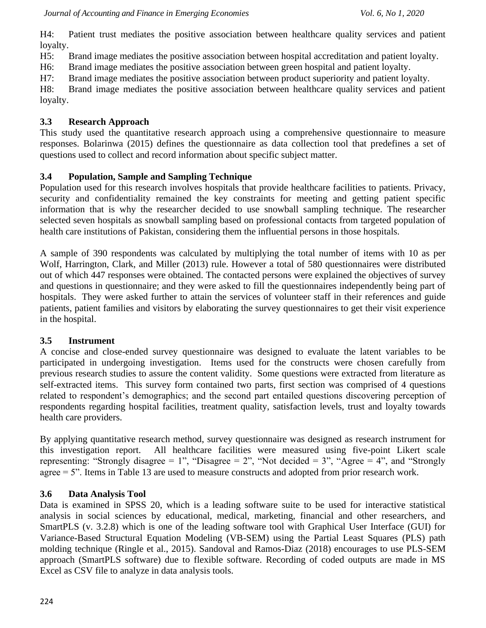H4: Patient trust mediates the positive association between healthcare quality services and patient loyalty.

H5: Brand image mediates the positive association between hospital accreditation and patient loyalty.

H6: Brand image mediates the positive association between green hospital and patient loyalty.

H7: Brand image mediates the positive association between product superiority and patient loyalty.

H8: Brand image mediates the positive association between healthcare quality services and patient loyalty.

## **3.3 Research Approach**

This study used the quantitative research approach using a comprehensive questionnaire to measure responses. Bolarinwa (2015) defines the questionnaire as data collection tool that predefines a set of questions used to collect and record information about specific subject matter.

## **3.4 Population, Sample and Sampling Technique**

Population used for this research involves hospitals that provide healthcare facilities to patients. Privacy, security and confidentiality remained the key constraints for meeting and getting patient specific information that is why the researcher decided to use snowball sampling technique. The researcher selected seven hospitals as snowball sampling based on professional contacts from targeted population of health care institutions of Pakistan, considering them the influential persons in those hospitals.

A sample of 390 respondents was calculated by multiplying the total number of items with 10 as per [Wolf, Harrington, Clark, and Miller \(2013\)](#page-17-11) rule. However a total of 580 questionnaires were distributed out of which 447 responses were obtained. The contacted persons were explained the objectives of survey and questions in questionnaire; and they were asked to fill the questionnaires independently being part of hospitals. They were asked further to attain the services of volunteer staff in their references and guide patients, patient families and visitors by elaborating the survey questionnaires to get their visit experience in the hospital.

## **3.5 Instrument**

A concise and close-ended survey questionnaire was designed to evaluate the latent variables to be participated in undergoing investigation. Items used for the constructs were chosen carefully from previous research studies to assure the content validity. Some questions were extracted from literature as self-extracted items. This survey form contained two parts, first section was comprised of 4 questions related to respondent's demographics; and the second part entailed questions discovering perception of respondents regarding hospital facilities, treatment quality, satisfaction levels, trust and loyalty towards health care providers.

By applying quantitative research method, survey questionnaire was designed as research instrument for this investigation report. All healthcare facilities were measured using five-point Likert scale representing: "Strongly disagree = 1", "Disagree = 2", "Not decided = 3", "Agree = 4", and "Strongly agree = 5". Items in Table 13 are used to measure constructs and adopted from prior research work.

## **3.6 Data Analysis Tool**

Data is examined in SPSS 20, which is a leading software suite to be used for interactive statistical analysis in social sciences by educational, medical, marketing, financial and other researchers, and SmartPLS (v. 3.2.8) which is one of the leading software tool with Graphical User Interface (GUI) for Variance-Based Structural Equation Modeling (VB-SEM) using the Partial Least Squares (PLS) path molding technique [\(Ringle et al., 2015\)](#page-17-12). [Sandoval and Ramos-Diaz \(2018\)](#page-17-13) encourages to use PLS-SEM approach (SmartPLS software) due to flexible software. Recording of coded outputs are made in MS Excel as CSV file to analyze in data analysis tools.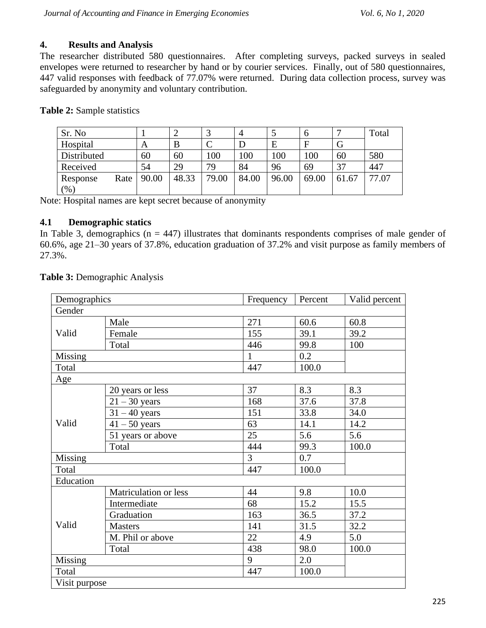## **4. Results and Analysis**

The researcher distributed 580 questionnaires. After completing surveys, packed surveys in sealed envelopes were returned to researcher by hand or by courier services. Finally, out of 580 questionnaires, 447 valid responses with feedback of 77.07% were returned. During data collection process, survey was safeguarded by anonymity and voluntary contribution.

| Sr. No        |      |       |       |       |       |       | O     |       | Total |
|---------------|------|-------|-------|-------|-------|-------|-------|-------|-------|
| Hospital      |      | A     | B     |       | D     | E     | F     | G     |       |
| Distributed   |      | 60    | 60    | 100   | 100   | 100   | 100   | 60    | 580   |
| Received      |      | 54    | 29    | 79    | 84    | 96    | 69    | 37    | 447   |
| Response      | Rate | 90.00 | 48.33 | 79.00 | 84.00 | 96.00 | 69.00 | 61.67 | 77.07 |
| $\frac{1}{2}$ |      |       |       |       |       |       |       |       |       |

**Table 2:** Sample statistics

Note: Hospital names are kept secret because of anonymity

#### **4.1 Demographic statics**

In Table 3, demographics ( $n = 447$ ) illustrates that dominants respondents comprises of male gender of 60.6%, age 21–30 years of 37.8%, education graduation of 37.2% and visit purpose as family members of 27.3%.

#### **Table 3:** Demographic Analysis

| Demographics   |                       | Frequency      | Percent | Valid percent |
|----------------|-----------------------|----------------|---------|---------------|
| Gender         |                       |                |         |               |
| Valid          | Male                  | 271            | 60.6    | 60.8          |
|                | Female                | 155            | 39.1    | 39.2          |
|                | Total                 | 446            | 99.8    | 100           |
| <b>Missing</b> |                       | $\mathbf{1}$   | 0.2     |               |
| Total          |                       | 447            | 100.0   |               |
| Age            |                       |                |         |               |
|                | 20 years or less      | 37             | 8.3     | 8.3           |
|                | $21 - 30$ years       | 168            | 37.6    | 37.8          |
|                | $31 - 40$ years       | 151            | 33.8    | 34.0          |
| Valid          | $41 - 50$ years       | 63             | 14.1    | 14.2          |
|                | 51 years or above     | 25             | 5.6     | 5.6           |
|                | Total                 | 444            | 99.3    | 100.0         |
| Missing        |                       | $\overline{3}$ | 0.7     |               |
| Total          |                       | 447            | 100.0   |               |
| Education      |                       |                |         |               |
|                | Matriculation or less | 44             | 9.8     | 10.0          |
|                | Intermediate          | 68             | 15.2    | 15.5          |
|                | Graduation            | 163            | 36.5    | 37.2          |
| Valid          | <b>Masters</b>        | 141            | 31.5    | 32.2          |
|                | M. Phil or above      | 22             | 4.9     | 5.0           |
|                | Total                 | 438            | 98.0    | 100.0         |
| Missing        |                       | 9              | 2.0     |               |
| Total          |                       | 447            | 100.0   |               |
| Visit purpose  |                       |                |         |               |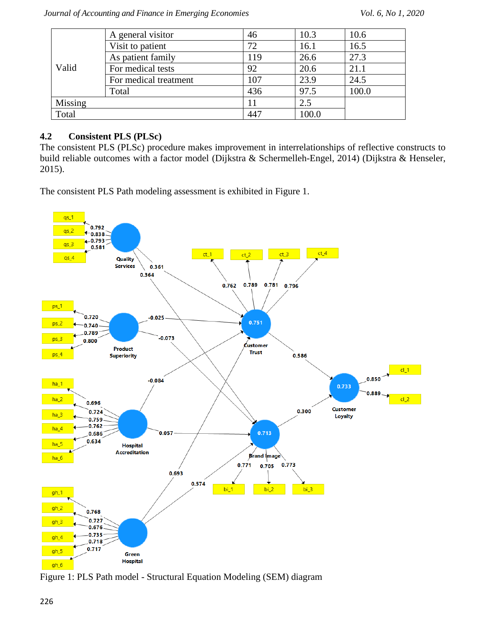*Journal of Accounting and Finance in Emerging Economies Vol. 6, No 1, 2020*

|         | A general visitor     | 46  | 10.3  | 10.6  |
|---------|-----------------------|-----|-------|-------|
| Valid   | Visit to patient      | 72  | 16.1  | 16.5  |
|         | As patient family     | 119 | 26.6  | 27.3  |
|         | For medical tests     | 92  | 20.6  | 21.1  |
|         | For medical treatment | 107 | 23.9  | 24.5  |
|         | Total                 | 436 | 97.5  | 100.0 |
| Missing |                       | 11  | 2.5   |       |
| Total   |                       | 447 | 100.0 |       |

## **4.2 Consistent PLS (PLSc)**

The consistent PLS (PLSc) procedure makes improvement in interrelationships of reflective constructs to build reliable outcomes with a factor model (Dijkstra & Schermelleh-Engel, 2014) (Dijkstra & Henseler, 2015).

The consistent PLS Path modeling assessment is exhibited in [Figure 1.](#page-7-0)



<span id="page-7-0"></span>Figure 1: PLS Path model - Structural Equation Modeling (SEM) diagram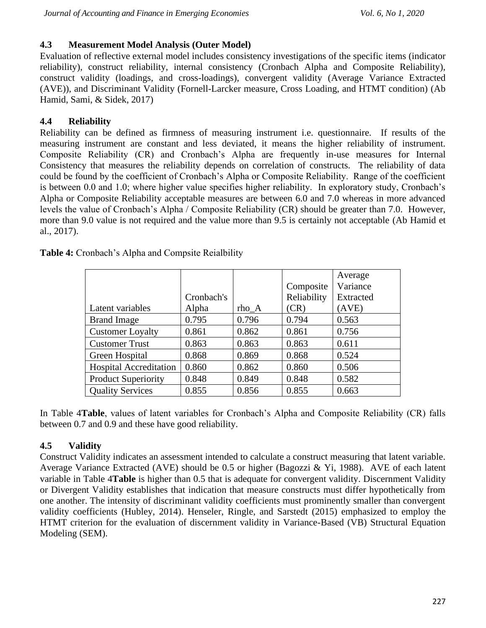## **4.3 Measurement Model Analysis (Outer Model)**

Evaluation of reflective external model includes consistency investigations of the specific items (indicator reliability), construct reliability, internal consistency (Cronbach Alpha and Composite Reliability), construct validity (loadings, and cross-loadings), convergent validity (Average Variance Extracted (AVE)), and Discriminant Validity (Fornell-Larcker measure, Cross Loading, and HTMT condition) [\(Ab](#page-15-2)  [Hamid, Sami, & Sidek, 2017\)](#page-15-2)

## **4.4 Reliability**

Reliability can be defined as firmness of measuring instrument i.e. questionnaire. If results of the measuring instrument are constant and less deviated, it means the higher reliability of instrument. Composite Reliability (CR) and Cronbach's Alpha are frequently in-use measures for Internal Consistency that measures the reliability depends on correlation of constructs. The reliability of data could be found by the coefficient of Cronbach's Alpha or Composite Reliability. Range of the coefficient is between 0.0 and 1.0; where higher value specifies higher reliability. In exploratory study, Cronbach's Alpha or Composite Reliability acceptable measures are between 6.0 and 7.0 whereas in more advanced levels the value of Cronbach's Alpha / Composite Reliability (CR) should be greater than 7.0. However, more than 9.0 value is not required and the value more than 9.5 is certainly not acceptable [\(Ab Hamid et](#page-15-2)  [al., 2017\)](#page-15-2).

|                               |            |         |             | Average   |
|-------------------------------|------------|---------|-------------|-----------|
|                               |            |         | Composite   | Variance  |
|                               | Cronbach's |         | Reliability | Extracted |
| Latent variables              | Alpha      | $rho_A$ | (CR)        | (AVE)     |
| <b>Brand Image</b>            | 0.795      | 0.796   | 0.794       | 0.563     |
| <b>Customer Loyalty</b>       | 0.861      | 0.862   | 0.861       | 0.756     |
| <b>Customer Trust</b>         | 0.863      | 0.863   | 0.863       | 0.611     |
| Green Hospital                | 0.868      | 0.869   | 0.868       | 0.524     |
| <b>Hospital Accreditation</b> | 0.860      | 0.862   | 0.860       | 0.506     |
| <b>Product Superiority</b>    | 0.848      | 0.849   | 0.848       | 0.582     |
| <b>Quality Services</b>       | 0.855      | 0.856   | 0.855       | 0.663     |

<span id="page-8-0"></span>**Table 4:** Cronbach's Alpha and Compsite Reialbility

In Table 4**[Table](#page-8-0)**, values of latent variables for Cronbach's Alpha and Composite Reliability (CR) falls between 0.7 and 0.9 and these have good reliability.

## **4.5 Validity**

Construct Validity indicates an assessment intended to calculate a construct measuring that latent variable. Average Variance Extracted (AVE) should be 0.5 or higher [\(Bagozzi & Yi, 1988\)](#page-15-3). AVE of each latent variable in Table 4**[Table](#page-8-0)** is higher than 0.5 that is adequate for convergent validity. Discernment Validity or Divergent Validity establishes that indication that measure constructs must differ hypothetically from one another. The intensity of discriminant validity coefficients must prominently smaller than convergent validity coefficients [\(Hubley, 2014\)](#page-16-11). [Henseler, Ringle, and Sarstedt \(2015\)](#page-16-12) emphasized to employ the HTMT criterion for the evaluation of discernment validity in Variance-Based (VB) Structural Equation Modeling (SEM).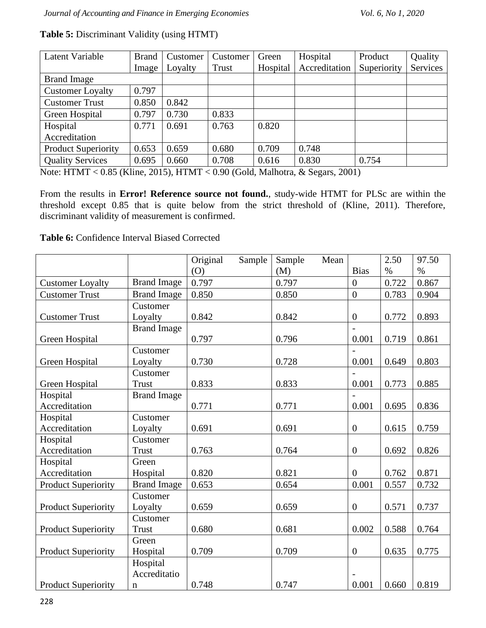| Latent Variable                                                                        | <b>Brand</b> | Customer | Customer | Green    | Hospital      | Product     | Quality  |
|----------------------------------------------------------------------------------------|--------------|----------|----------|----------|---------------|-------------|----------|
|                                                                                        | Image        | Loyalty  | Trust    | Hospital | Accreditation | Superiority | Services |
| <b>Brand Image</b>                                                                     |              |          |          |          |               |             |          |
| <b>Customer Loyalty</b>                                                                | 0.797        |          |          |          |               |             |          |
| <b>Customer Trust</b>                                                                  | 0.850        | 0.842    |          |          |               |             |          |
| Green Hospital                                                                         | 0.797        | 0.730    | 0.833    |          |               |             |          |
| Hospital                                                                               | 0.771        | 0.691    | 0.763    | 0.820    |               |             |          |
| Accreditation                                                                          |              |          |          |          |               |             |          |
| <b>Product Superiority</b>                                                             | 0.653        | 0.659    | 0.680    | 0.709    | 0.748         |             |          |
| <b>Quality Services</b>                                                                | 0.695        | 0.660    | 0.708    | 0.616    | 0.830         | 0.754       |          |
| ----- <del>----</del> ---<br>.<br>$\sim$ $\sim$<br>$\bullet$ $\land$ $\land$ $\bullet$ |              |          |          |          |               |             |          |

#### **Table 5:** Discriminant Validity (using HTMT)

Note: HTMT < 0.85 [\(Kline, 2015\)](#page-16-13), HTMT < 0.90 (Gold, Malhotra, & Segars, 2001)

From the results in **Error! Reference source not found.**, study-wide HTMT for PLSc are within the threshold except 0.85 that is quite below from the strict threshold of (Kline, 2011). Therefore, discriminant validity of measurement is confirmed.

**Table 6:** Confidence Interval Biased Corrected

|                            |                    | Original<br>Sample | Sample<br>Mean |                  | 2.50  | 97.50 |
|----------------------------|--------------------|--------------------|----------------|------------------|-------|-------|
|                            |                    | (O)                | (M)            | <b>Bias</b>      | $\%$  | $\%$  |
| <b>Customer Loyalty</b>    | <b>Brand Image</b> | 0.797              | 0.797          | $\overline{0}$   | 0.722 | 0.867 |
| <b>Customer Trust</b>      | <b>Brand Image</b> | 0.850              | 0.850          | $\overline{0}$   | 0.783 | 0.904 |
|                            | Customer           |                    |                |                  |       |       |
| <b>Customer Trust</b>      | Loyalty            | 0.842              | 0.842          | $\boldsymbol{0}$ | 0.772 | 0.893 |
|                            | <b>Brand Image</b> |                    |                |                  |       |       |
| Green Hospital             |                    | 0.797              | 0.796          | 0.001            | 0.719 | 0.861 |
|                            | Customer           |                    |                |                  |       |       |
| Green Hospital             | Loyalty            | 0.730              | 0.728          | 0.001            | 0.649 | 0.803 |
|                            | Customer           |                    |                |                  |       |       |
| Green Hospital             | <b>Trust</b>       | 0.833              | 0.833          | 0.001            | 0.773 | 0.885 |
| Hospital                   | <b>Brand Image</b> |                    |                |                  |       |       |
| Accreditation              |                    | 0.771              | 0.771          | 0.001            | 0.695 | 0.836 |
| Hospital                   | Customer           |                    |                |                  |       |       |
| Accreditation              | Loyalty            | 0.691              | 0.691          | $\overline{0}$   | 0.615 | 0.759 |
| Hospital                   | Customer           |                    |                |                  |       |       |
| Accreditation              | <b>Trust</b>       | 0.763              | 0.764          | $\boldsymbol{0}$ | 0.692 | 0.826 |
| Hospital                   | Green              |                    |                |                  |       |       |
| Accreditation              | Hospital           | 0.820              | 0.821          | $\overline{0}$   | 0.762 | 0.871 |
| <b>Product Superiority</b> | <b>Brand Image</b> | 0.653              | 0.654          | 0.001            | 0.557 | 0.732 |
|                            | Customer           |                    |                |                  |       |       |
| <b>Product Superiority</b> | Loyalty            | 0.659              | 0.659          | $\boldsymbol{0}$ | 0.571 | 0.737 |
|                            | Customer           |                    |                |                  |       |       |
| <b>Product Superiority</b> | <b>Trust</b>       | 0.680              | 0.681          | 0.002            | 0.588 | 0.764 |
|                            | Green              |                    |                |                  |       |       |
| <b>Product Superiority</b> | Hospital           | 0.709              | 0.709          | $\boldsymbol{0}$ | 0.635 | 0.775 |
|                            | Hospital           |                    |                |                  |       |       |
|                            | Accreditatio       |                    |                |                  |       |       |
| <b>Product Superiority</b> | $\mathbf n$        | 0.748              | 0.747          | 0.001            | 0.660 | 0.819 |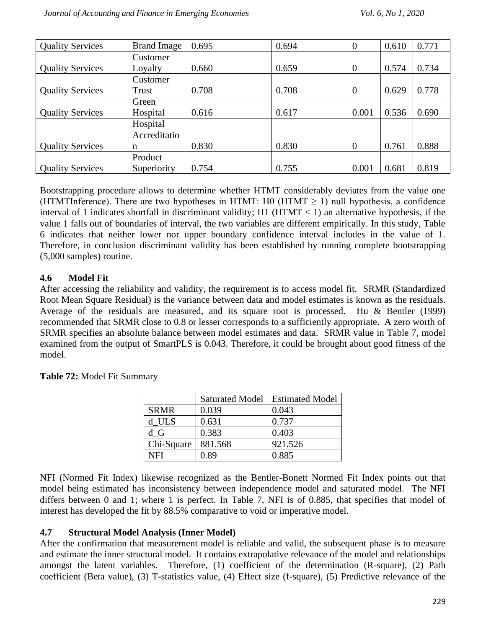| <b>Quality Services</b> | <b>Brand Image</b> | 0.695 | 0.694 | $\boldsymbol{0}$ | 0.610 | 0.771 |
|-------------------------|--------------------|-------|-------|------------------|-------|-------|
|                         | Customer           |       |       |                  |       |       |
| <b>Quality Services</b> | Loyalty            | 0.660 | 0.659 | $\theta$         | 0.574 | 0.734 |
|                         | Customer           |       |       |                  |       |       |
| <b>Quality Services</b> | Trust              | 0.708 | 0.708 | $\overline{0}$   | 0.629 | 0.778 |
|                         | Green              |       |       |                  |       |       |
| <b>Quality Services</b> | Hospital           | 0.616 | 0.617 | 0.001            | 0.536 | 0.690 |
|                         | Hospital           |       |       |                  |       |       |
|                         | Accreditatio       |       |       |                  |       |       |
| <b>Quality Services</b> | n                  | 0.830 | 0.830 | $\overline{0}$   | 0.761 | 0.888 |
|                         | Product            |       |       |                  |       |       |
| <b>Quality Services</b> | Superiority        | 0.754 | 0.755 | 0.001            | 0.681 | 0.819 |

Bootstrapping procedure allows to determine whether HTMT considerably deviates from the value one (HTMTInference). There are two hypotheses in HTMT: H0 (HTMT  $\geq$  1) null hypothesis, a confidence interval of 1 indicates shortfall in discriminant validity;  $H1$  ( $HTMT < 1$ ) an alternative hypothesis, if the value 1 falls out of boundaries of interval, the two variables are different empirically. In this study, Table 6 indicates that neither lower nor upper boundary confidence interval includes in the value of 1. Therefore, in conclusion discriminant validity has been established by running complete bootstrapping (5,000 samples) routine.

## **4.6 Model Fit**

After accessing the reliability and validity, the requirement is to access model fit. SRMR (Standardized Root Mean Square Residual) is the variance between data and model estimates is known as the residuals. Average of the residuals are measured, and its square root is processed. Hu & Bentler (1999) recommended that SRMR close to 0.8 or lesser corresponds to a sufficiently appropriate. A zero worth of SRMR specifies an absolute balance between model estimates and data. SRMR value in Table 7, model examined from the output of SmartPLS is 0.043. Therefore, it could be brought about good fitness of the model.

|             | <b>Saturated Model</b> | <b>Estimated Model</b> |
|-------------|------------------------|------------------------|
| <b>SRMR</b> | 0.039                  | 0.043                  |
| d ULS       | 0.631                  | 0.737                  |
| d G         | 0.383                  | 0.403                  |
| Chi-Square  | 881.568                | 921.526                |
| NFI         | 0.89                   | 0.885                  |

**Table 72:** Model Fit Summary

NFI (Normed Fit Index) likewise recognized as the Bentler-Bonett Normed Fit Index points out that model being estimated has inconsistency between independence model and saturated model. The NFI differs between 0 and 1; where 1 is perfect. In Table 7, NFI is of 0.885, that specifies that model of interest has developed the fit by 88.5% comparative to void or imperative model.

## **4.7 Structural Model Analysis (Inner Model)**

After the confirmation that measurement model is reliable and valid, the subsequent phase is to measure and estimate the inner structural model. It contains extrapolative relevance of the model and relationships amongst the latent variables. Therefore, (1) coefficient of the determination (R-square), (2) Path coefficient (Beta value), (3) T-statistics value, (4) Effect size (f-square), (5) Predictive relevance of the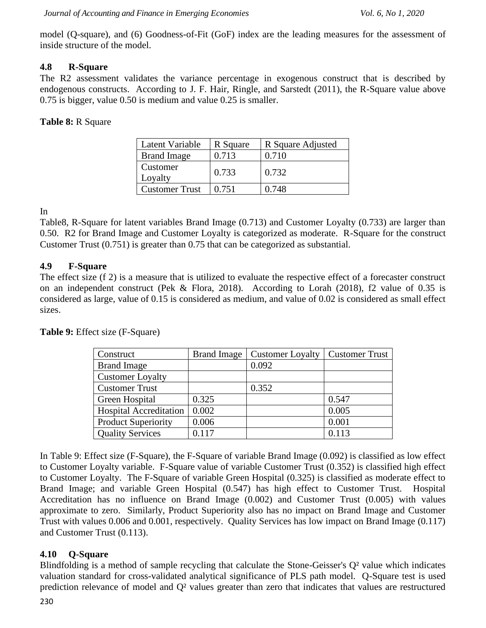model (Q-square), and (6) Goodness-of-Fit (GoF) index are the leading measures for the assessment of inside structure of the model.

#### **4.8 R-Square**

The R2 assessment validates the variance percentage in exogenous construct that is described by endogenous constructs. According to [J. F. Hair, Ringle, and Sarstedt \(2011\)](#page-16-14), the R-Square value above 0.75 is bigger, value 0.50 is medium and value 0.25 is smaller.

#### <span id="page-11-0"></span>**Table 8:** R Square

| Latent Variable       | R Square | R Square Adjusted |
|-----------------------|----------|-------------------|
| <b>Brand Image</b>    | 0.713    | 0.710             |
| Customer<br>Loyalty   | 0.733    | 0.732             |
| <b>Customer Trust</b> | 0.751    | 0.748             |

#### In

[Table8](#page-11-0), R-Square for latent variables Brand Image (0.713) and Customer Loyalty (0.733) are larger than 0.50. R2 for Brand Image and Customer Loyalty is categorized as moderate. R-Square for the construct Customer Trust (0.751) is greater than 0.75 that can be categorized as substantial.

#### **4.9 F-Square**

The effect size (f 2) is a measure that is utilized to evaluate the respective effect of a forecaster construct on an independent construct [\(Pek & Flora, 2018\)](#page-17-14). According to [Lorah \(2018\)](#page-16-15), f2 value of 0.35 is considered as large, value of 0.15 is considered as medium, and value of 0.02 is considered as small effect sizes.

<span id="page-11-1"></span>**Table 9:** Effect size (F-Square)

| Construct                     | <b>Brand Image</b> | <b>Customer Loyalty</b> | <b>Customer Trust</b> |
|-------------------------------|--------------------|-------------------------|-----------------------|
| <b>Brand Image</b>            |                    | 0.092                   |                       |
| <b>Customer Loyalty</b>       |                    |                         |                       |
| <b>Customer Trust</b>         |                    | 0.352                   |                       |
| Green Hospital                | 0.325              |                         | 0.547                 |
| <b>Hospital Accreditation</b> | 0.002              |                         | 0.005                 |
| <b>Product Superiority</b>    | 0.006              |                         | 0.001                 |
| <b>Quality Services</b>       | 0.117              |                         | 0.113                 |

In [Table 9: Effect size \(F-Square\),](#page-11-1) the F-Square of variable Brand Image (0.092) is classified as low effect to Customer Loyalty variable. F-Square value of variable Customer Trust (0.352) is classified high effect to Customer Loyalty. The F-Square of variable Green Hospital (0.325) is classified as moderate effect to Brand Image; and variable Green Hospital (0.547) has high effect to Customer Trust. Hospital Accreditation has no influence on Brand Image (0.002) and Customer Trust (0.005) with values approximate to zero. Similarly, Product Superiority also has no impact on Brand Image and Customer Trust with values 0.006 and 0.001, respectively. Quality Services has low impact on Brand Image (0.117) and Customer Trust (0.113).

## **4.10 Q-Square**

Blindfolding is a method of sample recycling that calculate the Stone-Geisser's Q² value which indicates valuation standard for cross-validated analytical significance of PLS path model. Q-Square test is used prediction relevance of model and  $Q<sup>2</sup>$  values greater than zero that indicates that values are restructured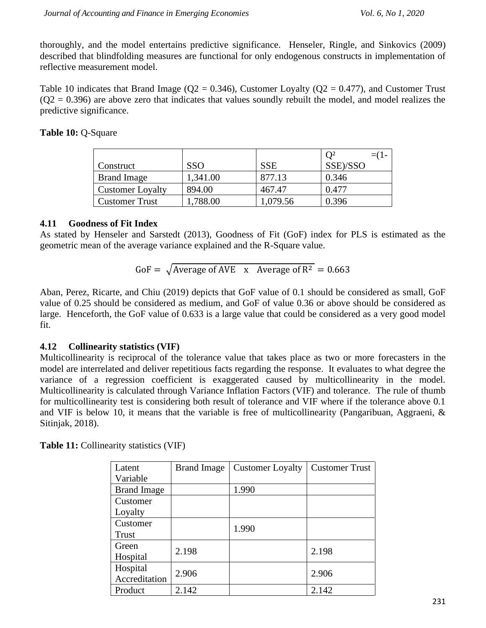thoroughly, and the model entertains predictive significance. [Henseler, Ringle, and Sinkovics \(2009\)](#page-16-16) described that blindfolding measures are functional for only endogenous constructs in implementation of reflective measurement model.

Table 10 indicates that Brand Image ( $Q2 = 0.346$ ), Customer Loyalty ( $Q2 = 0.477$ ), and Customer Trust  $(Q2 = 0.396)$  are above zero that indicates that values soundly rebuilt the model, and model realizes the predictive significance.

**Table 10:** Q-Square

|                         |            |            | $\Omega$ | $= (1 -$ |
|-------------------------|------------|------------|----------|----------|
| Construct               | <b>SSO</b> | <b>SSE</b> | SSE)/SSO |          |
| <b>Brand Image</b>      | 1,341.00   | 877.13     | 0.346    |          |
| <b>Customer Loyalty</b> | 894.00     | 467.47     | 0.477    |          |
| <b>Customer Trust</b>   | .788.00    | 1,079.56   | 0.396    |          |

#### **4.11 Goodness of Fit Index**

As stated by Henseler and Sarstedt (2013), Goodness of Fit (GoF) index for PLS is estimated as the geometric mean of the average variance explained and the R-Square value.

GoF =  $\sqrt{\text{Average of AVE}}$  x Average of R<sup>2</sup> = 0.663

Aban, Perez, Ricarte, and Chiu (2019) depicts that GoF value of 0.1 should be considered as small, GoF value of 0.25 should be considered as medium, and GoF of value 0.36 or above should be considered as large. Henceforth, the GoF value of 0.633 is a large value that could be considered as a very good model fit.

## **4.12 Collinearity statistics (VIF)**

Multicollinearity is reciprocal of the tolerance value that takes place as two or more forecasters in the model are interrelated and deliver repetitious facts regarding the response. It evaluates to what degree the variance of a regression coefficient is exaggerated caused by multicollinearity in the model. Multicollinearity is calculated through Variance Inflation Factors (VIF) and tolerance. The rule of thumb for multicollinearity test is considering both result of tolerance and VIF where if the tolerance above 0.1 and VIF is below 10, it means that the variable is free of multicollinearity [\(Pangaribuan, Aggraeni, &](#page-17-15)  [Sitinjak, 2018\)](#page-17-15).

| Latent             | <b>Brand Image</b> | <b>Customer Loyalty</b> | <b>Customer Trust</b> |  |
|--------------------|--------------------|-------------------------|-----------------------|--|
| Variable           |                    |                         |                       |  |
| <b>Brand Image</b> |                    | 1.990                   |                       |  |
| Customer           |                    |                         |                       |  |
| Loyalty            |                    |                         |                       |  |
| Customer           |                    | 1.990                   |                       |  |
| Trust              |                    |                         |                       |  |
| Green              | 2.198              |                         | 2.198                 |  |
| Hospital           |                    |                         |                       |  |
| Hospital           | 2.906              |                         | 2.906                 |  |
| Accreditation      |                    |                         |                       |  |
| Product            | 2.142              |                         | 2.142                 |  |

**Table 11:** Collinearity statistics (VIF)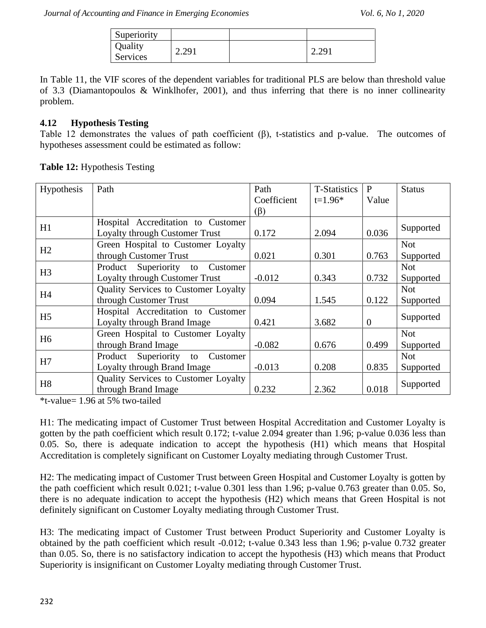| Superiority         |                      |                        |
|---------------------|----------------------|------------------------|
| Quality<br>Services | ാറു<br><i>a.a)</i> 1 | $2.20^{\circ}$<br>4.41 |

In Table 11, the VIF scores of the dependent variables for traditional PLS are below than threshold value of 3.3 [\(Diamantopoulos & Winklhofer, 2001\)](#page-16-17), and thus inferring that there is no inner collinearity problem.

## **4.12 Hypothesis Testing**

Table 12 demonstrates the values of path coefficient (β), t-statistics and p-value. The outcomes of hypotheses assessment could be estimated as follow:

| Hypothesis     | Path                                 | Path        | <b>T-Statistics</b> | P              | <b>Status</b> |  |
|----------------|--------------------------------------|-------------|---------------------|----------------|---------------|--|
|                |                                      | Coefficient | $t=1.96*$           | Value          |               |  |
|                |                                      | $(\beta)$   |                     |                |               |  |
| H1             | Hospital Accreditation to Customer   |             |                     |                | Supported     |  |
|                | Loyalty through Customer Trust       | 0.172       | 2.094               | 0.036          |               |  |
| H2             | Green Hospital to Customer Loyalty   |             |                     |                | <b>Not</b>    |  |
|                | through Customer Trust               | 0.021       | 0.301               | 0.763          | Supported     |  |
| H <sub>3</sub> | Product Superiority to Customer      |             |                     |                | <b>Not</b>    |  |
|                | Loyalty through Customer Trust       | $-0.012$    | 0.343               | 0.732          | Supported     |  |
|                | Quality Services to Customer Loyalty |             |                     |                | <b>Not</b>    |  |
| H <sub>4</sub> | through Customer Trust               | 0.094       | 1.545               | 0.122          | Supported     |  |
|                | Hospital Accreditation to Customer   |             |                     |                | Supported     |  |
| H <sub>5</sub> | Loyalty through Brand Image          | 0.421       | 3.682               | $\overline{0}$ |               |  |
| H <sub>6</sub> | Green Hospital to Customer Loyalty   |             |                     |                | <b>Not</b>    |  |
|                | through Brand Image                  | $-0.082$    | 0.676               | 0.499          | Supported     |  |
| H7             | Product Superiority to Customer      |             |                     |                | <b>Not</b>    |  |
|                | Loyalty through Brand Image          | $-0.013$    | 0.208               | 0.835          | Supported     |  |
|                | Quality Services to Customer Loyalty |             |                     |                | Supported     |  |
| H <sub>8</sub> | through Brand Image                  | 0.232       | 2.362               | 0.018          |               |  |

**Table 12:** Hypothesis Testing

\*t-value= 1.96 at 5% two-tailed

H1: The medicating impact of Customer Trust between Hospital Accreditation and Customer Loyalty is gotten by the path coefficient which result 0.172; t-value 2.094 greater than 1.96; p-value 0.036 less than 0.05. So, there is adequate indication to accept the hypothesis (H1) which means that Hospital Accreditation is completely significant on Customer Loyalty mediating through Customer Trust.

H2: The medicating impact of Customer Trust between Green Hospital and Customer Loyalty is gotten by the path coefficient which result 0.021; t-value 0.301 less than 1.96; p-value 0.763 greater than 0.05. So, there is no adequate indication to accept the hypothesis (H2) which means that Green Hospital is not definitely significant on Customer Loyalty mediating through Customer Trust.

H3: The medicating impact of Customer Trust between Product Superiority and Customer Loyalty is obtained by the path coefficient which result -0.012; t-value 0.343 less than 1.96; p-value 0.732 greater than 0.05. So, there is no satisfactory indication to accept the hypothesis (H3) which means that Product Superiority is insignificant on Customer Loyalty mediating through Customer Trust.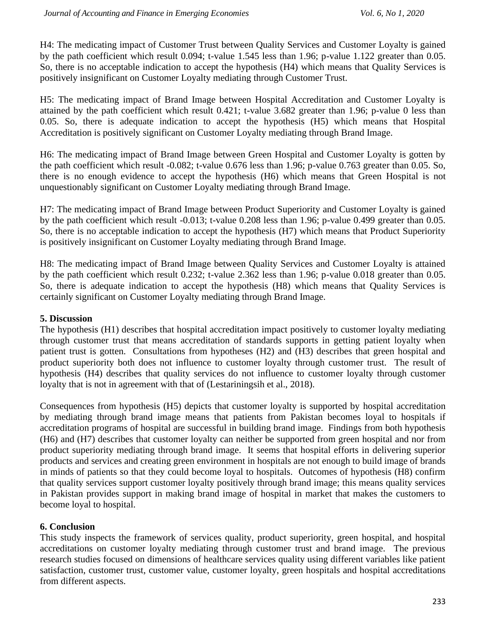H4: The medicating impact of Customer Trust between Quality Services and Customer Loyalty is gained by the path coefficient which result 0.094; t-value 1.545 less than 1.96; p-value 1.122 greater than 0.05. So, there is no acceptable indication to accept the hypothesis (H4) which means that Quality Services is positively insignificant on Customer Loyalty mediating through Customer Trust.

H5: The medicating impact of Brand Image between Hospital Accreditation and Customer Loyalty is attained by the path coefficient which result 0.421; t-value 3.682 greater than 1.96; p-value 0 less than 0.05. So, there is adequate indication to accept the hypothesis (H5) which means that Hospital Accreditation is positively significant on Customer Loyalty mediating through Brand Image.

H6: The medicating impact of Brand Image between Green Hospital and Customer Loyalty is gotten by the path coefficient which result -0.082; t-value 0.676 less than 1.96; p-value 0.763 greater than 0.05. So, there is no enough evidence to accept the hypothesis (H6) which means that Green Hospital is not unquestionably significant on Customer Loyalty mediating through Brand Image.

H7: The medicating impact of Brand Image between Product Superiority and Customer Loyalty is gained by the path coefficient which result -0.013; t-value 0.208 less than 1.96; p-value 0.499 greater than 0.05. So, there is no acceptable indication to accept the hypothesis (H7) which means that Product Superiority is positively insignificant on Customer Loyalty mediating through Brand Image.

H8: The medicating impact of Brand Image between Quality Services and Customer Loyalty is attained by the path coefficient which result 0.232; t-value 2.362 less than 1.96; p-value 0.018 greater than 0.05. So, there is adequate indication to accept the hypothesis (H8) which means that Quality Services is certainly significant on Customer Loyalty mediating through Brand Image.

#### **5. Discussion**

The hypothesis (H1) describes that hospital accreditation impact positively to customer loyalty mediating through customer trust that means accreditation of standards supports in getting patient loyalty when patient trust is gotten. Consultations from hypotheses (H2) and (H3) describes that green hospital and product superiority both does not influence to customer loyalty through customer trust. The result of hypothesis (H4) describes that quality services do not influence to customer loyalty through customer loyalty that is not in agreement with that of [\(Lestariningsih et al., 2018\)](#page-16-7).

Consequences from hypothesis (H5) depicts that customer loyalty is supported by hospital accreditation by mediating through brand image means that patients from Pakistan becomes loyal to hospitals if accreditation programs of hospital are successful in building brand image. Findings from both hypothesis (H6) and (H7) describes that customer loyalty can neither be supported from green hospital and nor from product superiority mediating through brand image. It seems that hospital efforts in delivering superior products and services and creating green environment in hospitals are not enough to build image of brands in minds of patients so that they could become loyal to hospitals. Outcomes of hypothesis (H8) confirm that quality services support customer loyalty positively through brand image; this means quality services in Pakistan provides support in making brand image of hospital in market that makes the customers to become loyal to hospital.

#### **6. Conclusion**

This study inspects the framework of services quality, product superiority, green hospital, and hospital accreditations on customer loyalty mediating through customer trust and brand image. The previous research studies focused on dimensions of healthcare services quality using different variables like patient satisfaction, customer trust, customer value, customer loyalty, green hospitals and hospital accreditations from different aspects.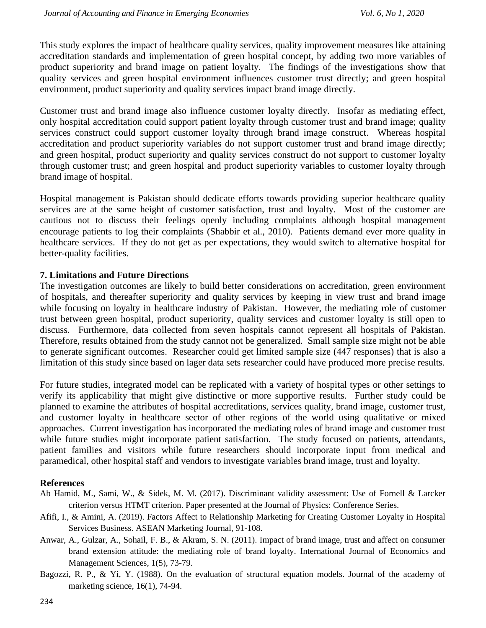This study explores the impact of healthcare quality services, quality improvement measures like attaining accreditation standards and implementation of green hospital concept, by adding two more variables of product superiority and brand image on patient loyalty. The findings of the investigations show that quality services and green hospital environment influences customer trust directly; and green hospital environment, product superiority and quality services impact brand image directly.

Customer trust and brand image also influence customer loyalty directly. Insofar as mediating effect, only hospital accreditation could support patient loyalty through customer trust and brand image; quality services construct could support customer loyalty through brand image construct. Whereas hospital accreditation and product superiority variables do not support customer trust and brand image directly; and green hospital, product superiority and quality services construct do not support to customer loyalty through customer trust; and green hospital and product superiority variables to customer loyalty through brand image of hospital.

Hospital management is Pakistan should dedicate efforts towards providing superior healthcare quality services are at the same height of customer satisfaction, trust and loyalty. Most of the customer are cautious not to discuss their feelings openly including complaints although hospital management encourage patients to log their complaints [\(Shabbir et al., 2010\)](#page-17-0). Patients demand ever more quality in healthcare services. If they do not get as per expectations, they would switch to alternative hospital for better-quality facilities.

#### **7. Limitations and Future Directions**

The investigation outcomes are likely to build better considerations on accreditation, green environment of hospitals, and thereafter superiority and quality services by keeping in view trust and brand image while focusing on loyalty in healthcare industry of Pakistan. However, the mediating role of customer trust between green hospital, product superiority, quality services and customer loyalty is still open to discuss. Furthermore, data collected from seven hospitals cannot represent all hospitals of Pakistan. Therefore, results obtained from the study cannot not be generalized. Small sample size might not be able to generate significant outcomes. Researcher could get limited sample size (447 responses) that is also a limitation of this study since based on lager data sets researcher could have produced more precise results.

For future studies, integrated model can be replicated with a variety of hospital types or other settings to verify its applicability that might give distinctive or more supportive results. Further study could be planned to examine the attributes of hospital accreditations, services quality, brand image, customer trust, and customer loyalty in healthcare sector of other regions of the world using qualitative or mixed approaches. Current investigation has incorporated the mediating roles of brand image and customer trust while future studies might incorporate patient satisfaction. The study focused on patients, attendants, patient families and visitors while future researchers should incorporate input from medical and paramedical, other hospital staff and vendors to investigate variables brand image, trust and loyalty.

#### **References**

- <span id="page-15-2"></span>Ab Hamid, M., Sami, W., & Sidek, M. M. (2017). Discriminant validity assessment: Use of Fornell & Larcker criterion versus HTMT criterion. Paper presented at the Journal of Physics: Conference Series.
- <span id="page-15-0"></span>Afifi, I., & Amini, A. (2019). Factors Affect to Relationship Marketing for Creating Customer Loyalty in Hospital Services Business. ASEAN Marketing Journal, 91-108.
- <span id="page-15-1"></span>Anwar, A., Gulzar, A., Sohail, F. B., & Akram, S. N. (2011). Impact of brand image, trust and affect on consumer brand extension attitude: the mediating role of brand loyalty. International Journal of Economics and Management Sciences, 1(5), 73-79.
- <span id="page-15-3"></span>Bagozzi, R. P., & Yi, Y. (1988). On the evaluation of structural equation models. Journal of the academy of marketing science, 16(1), 74-94.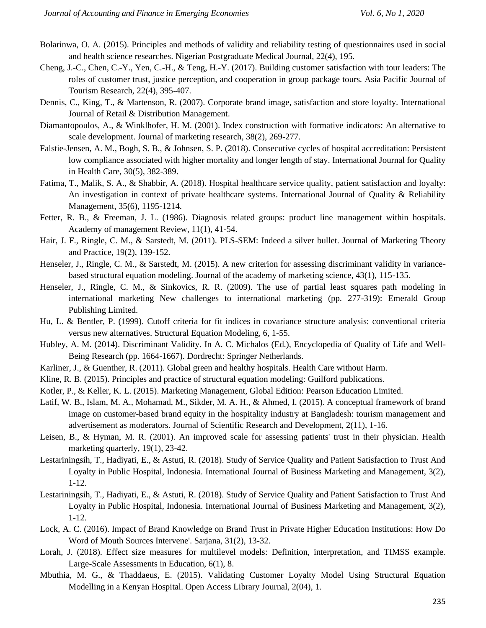- Bolarinwa, O. A. (2015). Principles and methods of validity and reliability testing of questionnaires used in social and health science researches. Nigerian Postgraduate Medical Journal, 22(4), 195.
- <span id="page-16-1"></span>Cheng, J.-C., Chen, C.-Y., Yen, C.-H., & Teng, H.-Y. (2017). Building customer satisfaction with tour leaders: The roles of customer trust, justice perception, and cooperation in group package tours. Asia Pacific Journal of Tourism Research, 22(4), 395-407.
- <span id="page-16-0"></span>Dennis, C., King, T., & Martenson, R. (2007). Corporate brand image, satisfaction and store loyalty. International Journal of Retail & Distribution Management.
- <span id="page-16-17"></span>Diamantopoulos, A., & Winklhofer, H. M. (2001). Index construction with formative indicators: An alternative to scale development. Journal of marketing research, 38(2), 269-277.
- <span id="page-16-2"></span>Falstie-Jensen, A. M., Bogh, S. B., & Johnsen, S. P. (2018). Consecutive cycles of hospital accreditation: Persistent low compliance associated with higher mortality and longer length of stay. International Journal for Quality in Health Care, 30(5), 382-389.
- Fatima, T., Malik, S. A., & Shabbir, A. (2018). Hospital healthcare service quality, patient satisfaction and loyalty: An investigation in context of private healthcare systems. International Journal of Quality & Reliability Management, 35(6), 1195-1214.
- <span id="page-16-4"></span>Fetter, R. B., & Freeman, J. L. (1986). Diagnosis related groups: product line management within hospitals. Academy of management Review, 11(1), 41-54.
- <span id="page-16-14"></span>Hair, J. F., Ringle, C. M., & Sarstedt, M. (2011). PLS-SEM: Indeed a silver bullet. Journal of Marketing Theory and Practice, 19(2), 139-152.
- <span id="page-16-12"></span>Henseler, J., Ringle, C. M., & Sarstedt, M. (2015). A new criterion for assessing discriminant validity in variancebased structural equation modeling. Journal of the academy of marketing science, 43(1), 115-135.
- <span id="page-16-16"></span>Henseler, J., Ringle, C. M., & Sinkovics, R. R. (2009). The use of partial least squares path modeling in international marketing New challenges to international marketing (pp. 277-319): Emerald Group Publishing Limited.
- <span id="page-16-11"></span>Hu, L. & Bentler, P. (1999). Cutoff criteria for fit indices in covariance structure analysis: conventional criteria versus new alternatives. Structural Equation Modeling, 6, 1-55.
- Hubley, A. M. (2014). Discriminant Validity. In A. C. Michalos (Ed.), Encyclopedia of Quality of Life and Well-Being Research (pp. 1664-1667). Dordrecht: Springer Netherlands.
- <span id="page-16-3"></span>Karliner, J., & Guenther, R. (2011). Global green and healthy hospitals. Health Care without Harm.
- <span id="page-16-13"></span>Kline, R. B. (2015). Principles and practice of structural equation modeling: Guilford publications.
- <span id="page-16-5"></span>Kotler, P., & Keller, K. L. (2015). Marketing Management, Global Edition: Pearson Education Limited.
- <span id="page-16-10"></span>Latif, W. B., Islam, M. A., Mohamad, M., Sikder, M. A. H., & Ahmed, I. (2015). A conceptual framework of brand image on customer-based brand equity in the hospitality industry at Bangladesh: tourism management and advertisement as moderators. Journal of Scientific Research and Development, 2(11), 1-16.
- <span id="page-16-8"></span>Leisen, B., & Hyman, M. R. (2001). An improved scale for assessing patients' trust in their physician. Health marketing quarterly, 19(1), 23-42.
- <span id="page-16-7"></span>Lestariningsih, T., Hadiyati, E., & Astuti, R. (2018). Study of Service Quality and Patient Satisfaction to Trust And Loyalty in Public Hospital, Indonesia. International Journal of Business Marketing and Management, 3(2), 1-12.
- Lestariningsih, T., Hadiyati, E., & Astuti, R. (2018). Study of Service Quality and Patient Satisfaction to Trust And Loyalty in Public Hospital, Indonesia. International Journal of Business Marketing and Management, 3(2), 1-12.
- <span id="page-16-9"></span>Lock, A. C. (2016). Impact of Brand Knowledge on Brand Trust in Private Higher Education Institutions: How Do Word of Mouth Sources Intervene'. Sarjana, 31(2), 13-32.
- <span id="page-16-15"></span>Lorah, J. (2018). Effect size measures for multilevel models: Definition, interpretation, and TIMSS example. Large-Scale Assessments in Education, 6(1), 8.
- <span id="page-16-6"></span>Mbuthia, M. G., & Thaddaeus, E. (2015). Validating Customer Loyalty Model Using Structural Equation Modelling in a Kenyan Hospital. Open Access Library Journal, 2(04), 1.